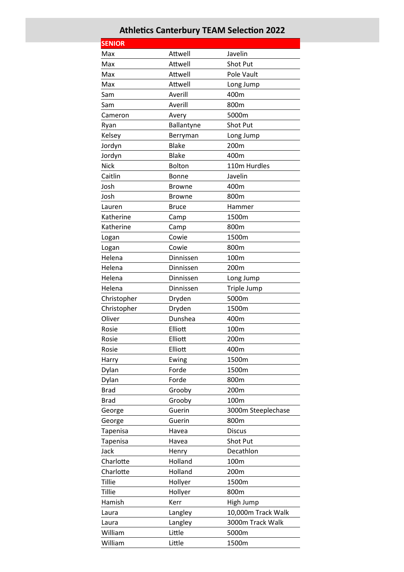## **Athletics Canterbury TEAM Selection 2022**

| <b>SENIOR</b> |               |                    |
|---------------|---------------|--------------------|
| Max           | Attwell       | Javelin            |
| Max           | Attwell       | <b>Shot Put</b>    |
| Max           | Attwell       | Pole Vault         |
| Max           | Attwell       | Long Jump          |
| Sam           | Averill       | 400m               |
| Sam           | Averill       | 800m               |
| Cameron       | Avery         | 5000m              |
| Ryan          | Ballantyne    | Shot Put           |
| Kelsey        | Berryman      | Long Jump          |
| Jordyn        | <b>Blake</b>  | 200m               |
| Jordyn        | <b>Blake</b>  | 400m               |
| <b>Nick</b>   | <b>Bolton</b> | 110m Hurdles       |
| Caitlin       | Bonne         | Javelin            |
| Josh          | <b>Browne</b> | 400m               |
| Josh          | <b>Browne</b> | 800m               |
| Lauren        | <b>Bruce</b>  | Hammer             |
| Katherine     | Camp          | 1500m              |
| Katherine     | Camp          | 800m               |
| Logan         | Cowie         | 1500m              |
| Logan         | Cowie         | 800m               |
| Helena        | Dinnissen     | 100m               |
| Helena        | Dinnissen     | 200m               |
| Helena        | Dinnissen     | Long Jump          |
| Helena        | Dinnissen     | Triple Jump        |
| Christopher   | Dryden        | 5000m              |
| Christopher   | Dryden        | 1500m              |
| Oliver        | Dunshea       | 400m               |
| Rosie         | Elliott       | 100m               |
| Rosie         | Elliott       | 200m               |
| Rosie         | Elliott       | 400m               |
| Harry         | Ewing         | 1500m              |
| Dylan         | Forde         | 1500m              |
| Dylan         | Forde         | 800m               |
| <b>Brad</b>   | Grooby        | 200m               |
| <b>Brad</b>   | Grooby        | 100m               |
| George        | Guerin        | 3000m Steeplechase |
| George        | Guerin        | 800m               |
| Tapenisa      | Havea         | <b>Discus</b>      |
| Tapenisa      | Havea         | Shot Put           |
| Jack          | Henry         | Decathlon          |
| Charlotte     | Holland       | 100m               |
| Charlotte     | Holland       | 200m               |
| <b>Tillie</b> | Hollyer       | 1500m              |
| <b>Tillie</b> | Hollyer       | 800m               |
| Hamish        | Kerr          | High Jump          |
| Laura         | Langley       | 10,000m Track Walk |
| Laura         | Langley       | 3000m Track Walk   |
|               |               |                    |
| William       | Little        | 5000m              |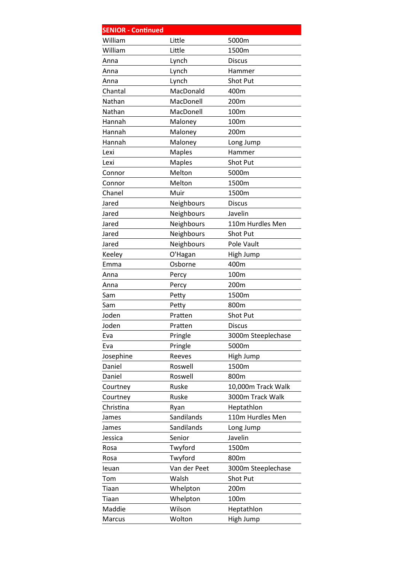| <b>SENIOR - Continued</b> |                             |                                                       |
|---------------------------|-----------------------------|-------------------------------------------------------|
| William                   | Little                      | 5000m                                                 |
| William                   | Little                      | 1500m                                                 |
| Anna                      | Lynch                       | <b>Discus</b>                                         |
| Anna                      | Lynch                       | Hammer                                                |
| Anna                      | Lynch                       | Shot Put                                              |
| Chantal                   | MacDonald                   | 400m                                                  |
| Nathan                    | MacDonell                   | 200m                                                  |
| Nathan                    | MacDonell                   | 100m                                                  |
| Hannah                    | Maloney                     | 100m                                                  |
| Hannah                    | Maloney                     | 200m                                                  |
| Hannah                    | Maloney                     | Long Jump                                             |
| Lexi                      | <b>Maples</b>               | Hammer                                                |
| Lexi                      | <b>Maples</b>               | <b>Shot Put</b>                                       |
| Connor                    | Melton                      | 5000m                                                 |
| Connor                    | Melton                      | 1500m                                                 |
| Chanel                    | Muir                        | 1500m                                                 |
| Jared                     | Neighbours                  | <b>Discus</b>                                         |
| Jared                     | Neighbours                  | Javelin                                               |
| Jared                     | Neighbours                  | 110m Hurdles Men                                      |
| Jared                     | Neighbours                  | Shot Put                                              |
| Jared                     | Neighbours                  | Pole Vault                                            |
| Keeley                    | O'Hagan                     | High Jump                                             |
| Emma                      | Osborne                     | 400m                                                  |
| Anna                      | Percy                       | 100m                                                  |
| Anna                      | Percy                       | 200m                                                  |
| Sam                       | Petty                       | 1500m                                                 |
| Sam                       |                             | 800m                                                  |
| Joden                     | Pratten                     | Shot Put                                              |
| Joden                     | Pratten                     | <b>Discus</b>                                         |
| Eva                       |                             |                                                       |
| Eva                       |                             | 5000m                                                 |
|                           | Reeves                      |                                                       |
| Daniel                    | Roswell                     | 1500m                                                 |
| Daniel                    | Roswell                     | 800m                                                  |
| Courtney                  | Ruske                       |                                                       |
| Courtney                  | Ruske                       | 3000m Track Walk                                      |
| Christina                 | Ryan                        | Heptathlon                                            |
| James                     | Sandilands                  | 110m Hurdles Men                                      |
| James                     | Sandilands                  | Long Jump                                             |
| Jessica                   | Senior                      | Javelin                                               |
| Rosa                      | Twyford                     | 1500m                                                 |
| Rosa                      | Twyford                     | 800m                                                  |
| leuan                     | Van der Peet                | 3000m Steeplechase                                    |
| Tom                       | Walsh                       | Shot Put                                              |
| Tiaan                     | Whelpton                    | 200m                                                  |
| Tiaan                     | Whelpton                    | 100m                                                  |
| Maddie                    | Wilson                      | Heptathlon                                            |
| Marcus                    | Wolton                      | High Jump                                             |
| Josephine                 | Petty<br>Pringle<br>Pringle | 3000m Steeplechase<br>High Jump<br>10,000m Track Walk |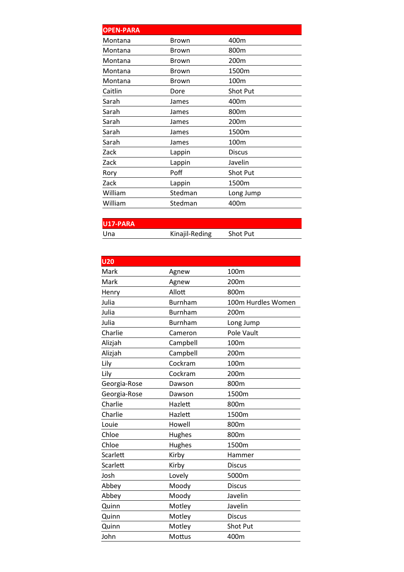| <b>OPEN-PARA</b> |              |                  |
|------------------|--------------|------------------|
| Montana          | Brown        | 400m             |
| Montana          | Brown        | 800m             |
| Montana          | Brown        | 200 <sub>m</sub> |
| Montana          | <b>Brown</b> | 1500m            |
| Montana          | <b>Brown</b> | 100m             |
| Caitlin          | Dore         | <b>Shot Put</b>  |
| Sarah            | James        | 400m             |
| Sarah            | James        | 800m             |
| Sarah            | James        | 200m             |
| Sarah            | James        | 1500m            |
| Sarah            | James        | 100 <sub>m</sub> |
| Zack             | Lappin       | <b>Discus</b>    |
| Zack             | Lappin       | Javelin          |
| Rory             | Poff         | Shot Put         |
| Zack             | Lappin       | 1500m            |
| William          | Stedman      | Long Jump        |
| William          | Stedman      | 400m             |
|                  |              |                  |

**U17‐PARA** 

Kinajil-Reding Shot Put

| <b>U20</b>   |                |                    |
|--------------|----------------|--------------------|
| Mark         | Agnew          | 100m               |
| Mark         | Agnew          | 200m               |
| Henry        | Allott         | 800m               |
| Julia        | <b>Burnham</b> | 100m Hurdles Women |
| Julia        | <b>Burnham</b> | 200 <sub>m</sub>   |
| Julia        | <b>Burnham</b> | Long Jump          |
| Charlie      | Cameron        | Pole Vault         |
| Alizjah      | Campbell       | 100 <sub>m</sub>   |
| Alizjah      | Campbell       | 200m               |
| Lily         | Cockram        | 100m               |
| Lily         | Cockram        | 200m               |
| Georgia-Rose | Dawson         | 800m               |
| Georgia-Rose | Dawson         | 1500m              |
| Charlie      | Hazlett        | 800m               |
| Charlie      | Hazlett        | 1500m              |
| Louie        | Howell         | 800m               |
| Chloe        | Hughes         | 800m               |
| Chloe        | Hughes         | 1500m              |
| Scarlett     | Kirby          | Hammer             |
| Scarlett     | Kirby          | <b>Discus</b>      |
| Josh         | Lovely         | 5000m              |
| Abbey        | Moody          | <b>Discus</b>      |
| Abbey        | Moody          | Javelin            |
| Quinn        | Motley         | Javelin            |
| Quinn        | Motley         | <b>Discus</b>      |
| Quinn        | Motley         | <b>Shot Put</b>    |
| John         | Mottus         | 400m               |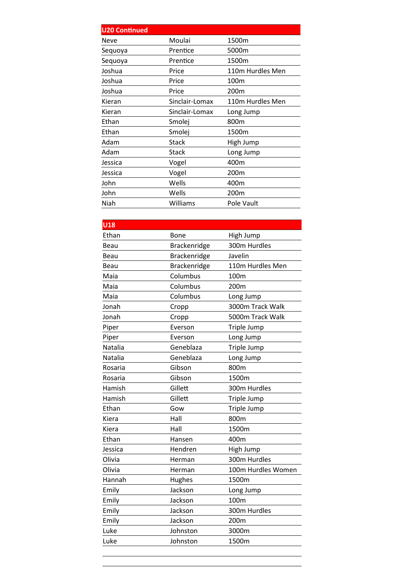| <b>U20 Continued</b> |                |                  |
|----------------------|----------------|------------------|
| Neve                 | Moulai         | 1500m            |
| Sequoya              | Prentice       | 5000m            |
| Sequoya              | Prentice       | 1500m            |
| Joshua               | Price          | 110m Hurdles Men |
| Joshua               | Price          | 100m             |
| Joshua               | Price          | 200m             |
| Kieran               | Sinclair-Lomax | 110m Hurdles Men |
| Kieran               | Sinclair-Lomax | Long Jump        |
| Ethan                | Smolej         | 800m             |
| Ethan                | Smolej         | 1500m            |
| Adam                 | Stack          | High Jump        |
| Adam                 | Stack          | Long Jump        |
| Jessica              | Vogel          | 400m             |
| Jessica              | Vogel          | 200 <sub>m</sub> |
| John                 | Wells          | 400m             |
| John                 | Wells          | 200m             |
| Niah                 | Williams       | Pole Vault       |

| $\overline{\mathsf{U}18}$ |              |                    |
|---------------------------|--------------|--------------------|
| Ethan                     | <b>Bone</b>  | High Jump          |
| Beau                      | Brackenridge | 300m Hurdles       |
| Beau                      | Brackenridge | Javelin            |
| Beau                      | Brackenridge | 110m Hurdles Men   |
| Maia                      | Columbus     | 100m               |
| Maia                      | Columbus     | 200m               |
| Maia                      | Columbus     | Long Jump          |
| Jonah                     | Cropp        | 3000m Track Walk   |
| Jonah                     | Cropp        | 5000m Track Walk   |
| Piper                     | Everson      | Triple Jump        |
| Piper                     | Everson      | Long Jump          |
| Natalia                   | Geneblaza    | Triple Jump        |
| Natalia                   | Geneblaza    | Long Jump          |
| Rosaria                   | Gibson       | 800m               |
| Rosaria                   | Gibson       | 1500m              |
| Hamish                    | Gillett      | 300m Hurdles       |
| Hamish                    | Gillett      | Triple Jump        |
| Ethan                     | Gow          | Triple Jump        |
| Kiera                     | Hall         | 800m               |
| Kiera                     | Hall         | 1500m              |
| Ethan                     | Hansen       | 400m               |
| Jessica                   | Hendren      | High Jump          |
| Olivia                    | Herman       | 300m Hurdles       |
| Olivia                    | Herman       | 100m Hurdles Women |
| Hannah                    | Hughes       | 1500m              |
| Emily                     | Jackson      | Long Jump          |
| Emily                     | Jackson      | 100m               |
| Emily                     | Jackson      | 300m Hurdles       |
| Emily                     | Jackson      | 200m               |
| Luke                      | Johnston     | 3000m              |
| Luke                      | Johnston     | 1500m              |
|                           |              |                    |